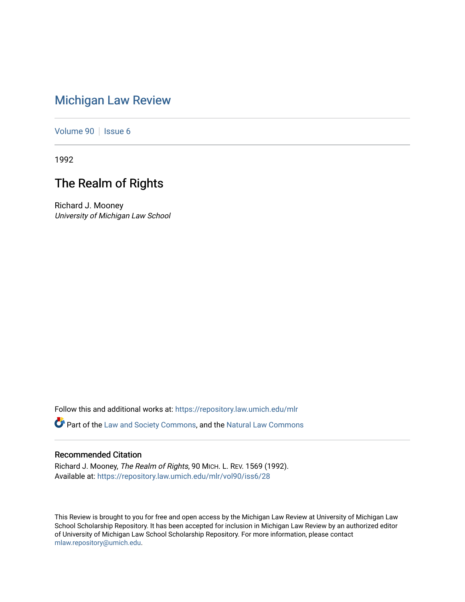## [Michigan Law Review](https://repository.law.umich.edu/mlr)

[Volume 90](https://repository.law.umich.edu/mlr/vol90) | [Issue 6](https://repository.law.umich.edu/mlr/vol90/iss6)

1992

# The Realm of Rights

Richard J. Mooney University of Michigan Law School

Follow this and additional works at: [https://repository.law.umich.edu/mlr](https://repository.law.umich.edu/mlr?utm_source=repository.law.umich.edu%2Fmlr%2Fvol90%2Fiss6%2F28&utm_medium=PDF&utm_campaign=PDFCoverPages) 

Part of the [Law and Society Commons](http://network.bepress.com/hgg/discipline/853?utm_source=repository.law.umich.edu%2Fmlr%2Fvol90%2Fiss6%2F28&utm_medium=PDF&utm_campaign=PDFCoverPages), and the [Natural Law Commons](http://network.bepress.com/hgg/discipline/1263?utm_source=repository.law.umich.edu%2Fmlr%2Fvol90%2Fiss6%2F28&utm_medium=PDF&utm_campaign=PDFCoverPages)

### Recommended Citation

Richard J. Mooney, The Realm of Rights, 90 MICH. L. REV. 1569 (1992). Available at: [https://repository.law.umich.edu/mlr/vol90/iss6/28](https://repository.law.umich.edu/mlr/vol90/iss6/28?utm_source=repository.law.umich.edu%2Fmlr%2Fvol90%2Fiss6%2F28&utm_medium=PDF&utm_campaign=PDFCoverPages) 

This Review is brought to you for free and open access by the Michigan Law Review at University of Michigan Law School Scholarship Repository. It has been accepted for inclusion in Michigan Law Review by an authorized editor of University of Michigan Law School Scholarship Repository. For more information, please contact [mlaw.repository@umich.edu.](mailto:mlaw.repository@umich.edu)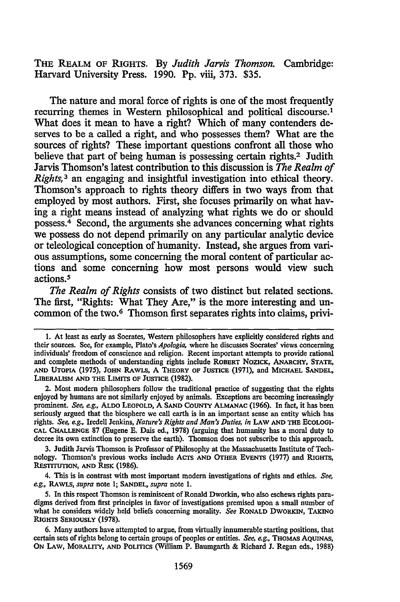THE REALM OF RIGHTS. By *Judith Jarvis Thomson.* Cambridge: Harvard University Press. 1990. Pp. viii, 373. \$35.

The nature and moral force of rights is one of the most frequently recurring themes in Western philosophical and political discourse.<sup>1</sup> What does it mean to have a right? Which of many contenders deserves to be a called a right, and who possesses them? What are the sources of rights? These important questions confront all those who believe that part of being human is possessing certain rights.2 Judith Jarvis Thomson's latest contribution to this discussion is *The Realm of Rights, <sup>3</sup>*an engaging and insightful investigation into ethical theory. Thomson's approach to rights theory differs in two ways from that employed by most authors. First, she focuses primarily on what having a right means instead of analyzing what rights we do or should possess.4 Second, the arguments she advances concerning what rights we possess do not depend primarily on any particular analytic device or teleological conception of humanity. Instead, she argues from various assumptions, some concerning the moral content of particular actions and some concerning how most persons would view such actions.5

*The Realm of Rights* consists of two distinct but related sections. The first, "Rights: What They Are," is the more interesting and uncommon of the two.<sup>6</sup> Thomson first separates rights into claims, privi-

2. Most modem philosophers follow the traditional practice of suggesting that the rights enjoyed by humans are not similarly enjoyed by animals. Exceptions are becoming increasingly prominent. *See, e.g.,* ALDO LEOPOLD, A SAND CoUNTY ALMANAC (1966). In fact, it has been seriously argued that the biosphere we call earth is in an important sense an entity which has rights. *See, e.g.,* Iredell Jenkins, *Nature's Rights and Man's Duties, in* LAW AND THE EcoLOGI-CAL CHALLENGE 87 (Eugene E. Dais ed., 1978) (arguing that humanity has a moral duty to decree its own extinction to preserve the earth). Thomson does not subscribe to this approach.

3. Judith Jarvis Thomson is Professor of Philosophy at the Massachusetts Institute of Technology. Thomson's previous works include ACTS AND OTHER EVENTS (1977) and RIGHTS, RESTITUTION, AND RISK (1986).

4. This is in contrast with most important modem investigations of rights and ethics. *See, e.g.,* RAWLS, *supra* note 1; SANDEL, *supra* note 1.

5. In this respect Thomson is reminiscent of Ronald Dworkin, who also eschews rights paradigms derived from first principles in favor of investigations premised upon a small number of what he considers widely held beliefs concerning morality. *See* RONALD DWORKIN, TAKING RIGHTS SERIOUSLY (1978).

<sup>1.</sup> At least as early as Socrates, Western philosophers have explicitly considered rights and their sources. See, for example, Plato's *Apologia,* where he discusses Socrates' views concerning individuals' freedom of conscience and religion. Recent important attempts to provide rational and complete methods of understanding rights include ROBERT NOZICK, ANARCHY, STATE, AND UTOPIA (1975), JOHN RAWLS, A THEORY OF JUSTICE (1971), and MICHAEL SANDEL, LIBERALISM AND THE LIMITS OF JUSTICE (1982).

<sup>6.</sup> Many authors have attempted to argue, from virtually innumerable starting positions, that certain sets of rights belong to certain groups of peoples or entities. *See, e.g.,* THOMAS AQUINAS, ON LAW, MORALITY, AND PoLmcs (William P. Baumgarth & Richard J. Regan eds., 1988)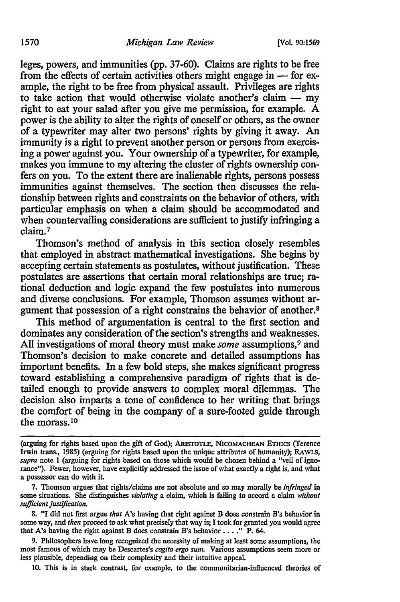leges, powers, and immunities {pp. 37-60). Claims are rights to be free from the effects of certain activities others might engage in  $-$  for example, the right to be free from physical assault. Privileges are rights to take action that would otherwise violate another's claim - mv right to eat your salad after you give me permission, for example. A power is the ability to alter the rights of oneself or others, as the owner of a typewriter may alter two persons' rights by giving it away. An immunity is a right to prevent another person or persons from exercising a power against you. Your ownership of a typewriter, for example, makes you immune to my altering the cluster of rights ownership confers on you. To the extent there are inalienable rights, persons possess immunities against themselves. The section then discusses the relationship between rights and constraints on the behavior of others, with particular emphasis on when a claim should be accommodated and when countervailing considerations are sufficient to justify infringing a claim.7

Thomson's method of analysis in this section closely resembles that employed in abstract mathematical investigations. She begins by accepting certain statements as postulates, without justification. These postulates are assertions that certain moral relationships are true; rational deduction and logic expand the few postulates into numerous and diverse conclusions. For example, Thomson assumes without argument that possession of a right constrains the behavior of another. 8

This method of argumentation is central to the first section and dominates any consideration of the section's strengths and weaknesses. All investigations of moral theory must make *some* assumptions,9 and Thomson's decision to make concrete and detailed assumptions has important benefits. In a few bold steps, she makes significant progress toward establishing a comprehensive paradigm of rights that is detailed enough to provide answers to complex moral dilemmas. The decision also imparts a tone of confidence to her writing that brings the comfort of being in the company of a sure-footed guide through the morass. <sup>10</sup>

10. This is in stark contrast, for example, to the communitarian-influenced theories of

<sup>(</sup>arguing for rights based upon the gift of God); ARISTOTLE, NICOMACHEAN ETHICS (Terence Irwin trans., 1985) (arguing for rights based upon the unique attributes of humanity); RAWLS, *supra* note 1 (arguing for rights based on those which would be chosen behind a "veil of ignorance"). Fewer, however, have explicitly addressed the issue of what exactly a right is, and what a possessor can do with it.

<sup>7.</sup> Thomson argues that rights/claims are not absolute and so may morally be *infringed* in some situations. She distinguishes *violating* a claim, which is failing to accord a claim *without sufficient justification.* 

<sup>8. &</sup>quot;I did not first argue *that* A's having that right against B does constrain B's behavior in some way, and *then* proceed to ask what precisely that way is; I took for granted you would agree that A's having the right against B does constrain B's behavior . . . ." P. 64.

<sup>9.</sup> Philosophers have long recognized the necessity of making at least some assumptions, the most famous of which may be Descartes's *cogito ergo sum.* Various assumptions seem more or less plausible, depending on their complexity and their intuitive appeal.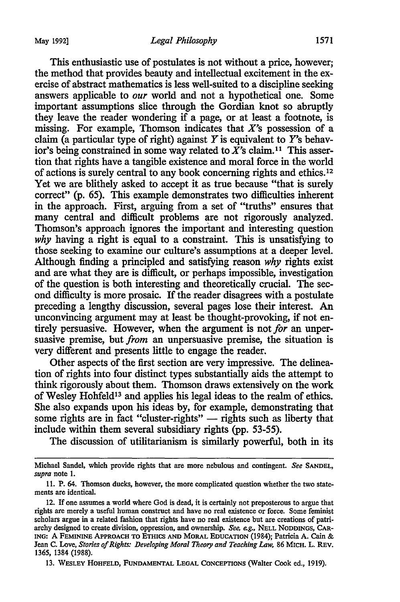This enthusiastic use of postulates is not without a price, however; the method that provides beauty and intellectual excitement in the exercise of abstract mathematics is less well-suited to a discipline seeking answers applicable to *our* world and not a hypothetical one. Some important assumptions slice through the Gordian knot so abruptly they leave the reader wondering if a page, or at least a footnote, is missing. For example, Thomson indicates that *X's* possession of a claim (a particular type of right) against *Y* is equivalent to *Y's* behavior's being constrained in some way related to  $\hat{X}$ 's claim.<sup>11</sup> This assertion that rights have a tangible existence and moral force in the world of actions is surely central to any book concerning rights and ethics.12 Yet we are blithely asked to accept it as true because "that is surely correct" (p. 65). This example demonstrates two difficulties inherent in the approach. First, arguing from a set of "truths" ensures that many central and difficult problems are not rigorously analyzed. Thomson's approach ignores the important and interesting question why having a right is equal to a constraint. This is unsatisfying to those seeking to examine our culture's assumptions at a deeper level. Although finding a principled and satisfying reason *why* rights exist and are what they are is difficult, or perhaps impossible, investigation of the question is both interesting and theoretically crucial. The second difficulty is more prosaic. If the reader disagrees with a postulate preceding a lengthy discussion, several pages lose their interest. An unconvincing argument may at least be thought-provoking, if not entirely persuasive. However, when the argument is not *for* an unpersuasive premise, but *from* an unpersuasive premise, the situation is very different and presents little to engage the reader.

Other aspects of the first section are very impressive. The delineation of rights into four distinct types substantially aids the attempt to think rigorously about them. Thomson draws extensively on the work of Wesley Hohfeld13 and applies his legal ideas to the realm of ethics. She also expands upon his ideas by, for example, demonstrating that some rights are in fact "cluster-rights"  $-$  rights such as liberty that include within them several subsidiary rights (pp. 53-55).

The discussion of utilitarianism is similarly powerful, both in its

13. WESLEY HOHFELD, FUNDAMENTAL LEGAL CoNCEPTIONS (Walter Cook ed., 1919).

Michael Sandel, which provide rights that are more nebulous and contingent. *See* SANDEL, *supra* note 1.

<sup>11.</sup> P. 64. Thomson ducks, however, the more complicated question whether the two statements are identical.

<sup>12.</sup> If one assumes a world where God is dead, it is certainly not preposterous to argue that rights are merely a useful human construct and have no real existence or force. Some feminist scholars argue in a related fashion that rights have no real existence but are creations of patriarchy designed to create division, oppression, and ownership. *See, e.g.,* NELL NODDINGS, CAR-ING: A FEMININE APPROACH TO ETHICS AND MORAL EDUCATION (1984); Patricia A. Cain & Jean C. Love, *Stories of Rights: Developing Moral Theory and Teaching* Law, 86 MICH. L. REv. 1365, 1384 (1988).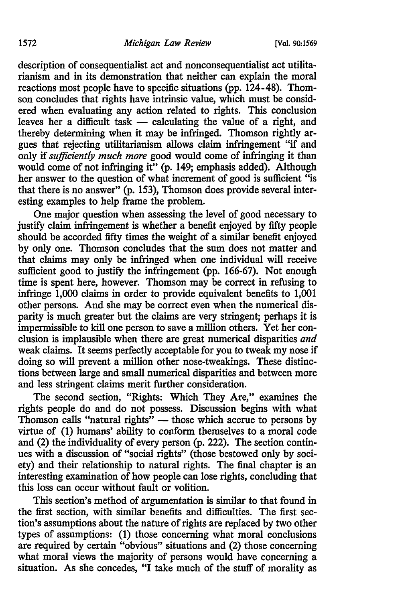#### 1572 *Michigan Law Review* [Vol. 90:1569

description of consequentialist act and nonconsequentialist act utilitarianism and in its demonstration that neither can explain the moral reactions most people have to specific situations (pp. 124-48). Thomson concludes that rights have intrinsic value, which must be considered when evaluating any action related to rights. This conclusion leaves her a difficult task  $-$  calculating the value of a right, and thereby determining when it may be infringed. Thomson rightly argues that rejecting utilitarianism allows claim infringement "if and only if *sufficiently much more* good would come of infringing it than would come of not infringing it" (p. 149; emphasis added). Although her answer to the question of what increment of good is sufficient "is that there is no answer" (p. 153), Thomson does provide several interesting examples to help frame the problem.

One major question when assessing the level of good necessary to justify claim infringement is whether a benefit enjoyed by fifty people should be accorded fifty times the weight of a similar benefit enjoyed by only one. Thomson concludes that the sum does not matter and that claims may only be infringed when one individual will receive sufficient good to justify the infringement (pp. 166-67). Not enough time is spent here, however. Thomson may be correct in refusing to infringe 1,000 claims in order to provide equivalent benefits to 1,001 other persons. And she may be correct even when the numerical disparity is much greater but the claims are very stringent; perhaps it is impermissible to kill one person to save a million others. Yet her conclusion is implausible when there are great numerical disparities *and*  weak claims. It seems perfectly acceptable for you to tweak my nose if doing so will prevent a million other nose-tweakings. These distinctions between large and small numerical disparities and between more and less stringent claims merit further consideration.

The second section, "Rights: Which They Are,'' examines the rights people do and do not possess. Discussion begins with what Thomson calls "natural rights"  $-$  those which accrue to persons by virtue of (1) humans' ability to conform themselves to a moral code and (2) the individuality of every person (p. 222). The section continues with a discussion of "social rights" (those bestowed only by society) and their relationship to natural rights. The final chapter is an interesting examination of how people can lose rights, concluding that this loss can occur without fault or volition.

This section's method of argumentation is similar to that found in the first section, with similar benefits and difficulties. The first section's assumptions about the nature of rights are replaced by two other types of assumptions: (1) those concerning what moral conclusions are required by certain "obvious" situations and (2) those concerning what moral views the majority of persons would have concerning a situation. As she concedes, "I take much of the stuff of morality as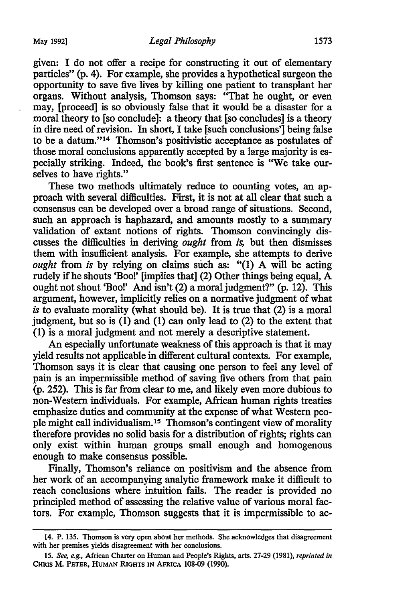May 1992] *Legal Philosophy* 1573

given: I do not offer a recipe for constructing it out of elementary particles" (p. 4). For example, she provides a hypothetical surgeon the opportunity to save five lives by killing one patient to transplant her organs. Without analysis, Thomson says: "That he ought, or even may, [proceed] is so obviously false that it would be a disaster for a moral theory to [so conclude]: a theory that [so concludes] is a theory in dire need of revision. In short, I take [such conclusions'] being false to be a datum." 14 Thomson's positivistic acceptance as postulates of those moral conclusions apparently accepted by a large majority is especially striking. Indeed, the book's first sentence is "We take ourselves to have rights."

These two methods ultimately reduce to counting votes, an approach with several difficulties. First, it is not at all clear that such a consensus can be developed over a broad range of situations. Second, such an approach is haphazard, and amounts mostly to a summary validation of extant notions of rights. Thomson convincingly discusses the difficulties in deriving *ought* from *is,* but then dismisses them with insufficient analysis. For example, she attempts to derive *ought* from *is* by relying on claims such as: "(1) A will be acting rudely if he shouts 'Boo!' [implies that] (2) Other things being equal, A ought not shout 'Boo!' And isn't (2) a moral judgment?" (p. 12). This argument, however, implicitly relies on a normative judgment of what *is* to evaluate morality (what should be). It is true that (2) is a moral judgment, but so is (1) and (1) can only lead to (2) to the extent that (1) is a moral judgment and not merely a descriptive statement.

An especially unfortunate weakness of this approach is that it may yield results not applicable in different cultural contexts. For example, Thomson says it is clear that causing one person to feel any level of pain is an impermissible method of saving five others from that pain (p. 252). This is far from clear to me, and likely even more dubious to non-Western individuals. For example, African human rights treaties emphasize duties and community at the expense of what Western people might call individualism. 15 Thomson's contingent view of morality therefore provides no solid basis for a distribution of rights; rights can only exist within human groups small enough and homogenous enough to make consensus possible.

Finally, Thomson's reliance on positivism and the absence from her work of an accompanying analytic framework make it difficult to reach conclusions where intuition fails. The reader is provided no principled method of assessing the relative value of various moral factors. For example, Thomson suggests that it is impermissible to ac-

<sup>14.</sup> P. 135. Thomson is very open about her methods. She acknowledges that disagreement with her premises yields disagreement with her conclusions.

<sup>15.</sup> *See, e.g.,* African Charter on Human and People's Rights, arts. 27-29 (1981), *reprinted in*  CHRIS M. PETER, HUMAN RIGHTS IN AFRICA 108-09 (1990).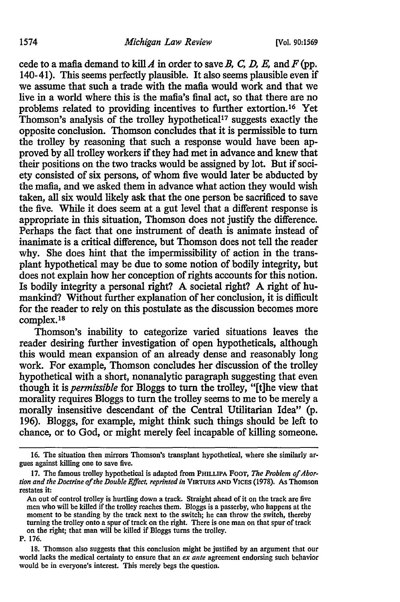### 1574 *Michigan Law Review* [Vol. 90:1569

cede to a mafia demand to kill  $A$  in order to save  $B$ ,  $C$ ,  $D$ ,  $E$ , and  $F$  (pp. 140-41). This seems perfectly plausible. It also seems plausible even if we assume that such a trade with the mafia would work and that we live in a world where this is the mafia's final act, so that there are no problems related to providing incentives to further extortion.16 Yet Thomson's analysis of the trolley hypothetical<sup>17</sup> suggests exactly the opposite conclusion. Thomson concludes that it is permissible to turn the trolley by reasoning that such a response would have been approved by all trolley workers if they had met in advance and knew that their positions on the two tracks would be assigned by lot. But if society consisted of six persons, of whom five would later be abducted by the mafia, and we asked them in advance what action they would wish taken, all six would likely ask that the one person be sacrificed to save the five. While it does seem at a gut level that a different response is appropriate in this situation, Thomson does not justify the difference. Perhaps the fact that one instrument of death is animate instead of inanimate is a critical difference, but Thomson does not tell the reader why. She does hint that the impermissibility of action in the transplant hypothetical may be due to some notion of bodily integrity, but does not explain how her conception of rights accounts for this notion. Is bodily integrity a personal right? A societal right? A right of humankind? Without further explanation of her conclusion, it is difficult for the reader to rely on this postulate as the discussion becomes more complex. <sup>18</sup>

Thomson's inability to categorize varied situations leaves the reader desiring further investigation of open hypotheticals, although this would mean expansion of an already dense and reasonably long work. For example, Thomson concludes her discussion of the trolley hypothetical with a short, nonanalytic paragraph suggesting that even though it is *permissible* for Bloggs to turn the trolley, "[t]he view that morality requires Bloggs to tum the trolley seems to me to be merely a morally insensitive descendant of the Central Utilitarian Idea" (p. 196). Bloggs, for example, might think such things should be left to chance, or to God, or might merely feel incapable of killing someone.

18. Thomson also suggests that this conclusion might be justified by an argument that our world lacks the medical certainty to ensure that an ex *ante* agreement endorsing such behavior would be in everyone's interest. This merely begs the question.

<sup>16.</sup> The situation then mirrors Thomson's transplant hypothetical, where she similarly argues against killing one to save five.

<sup>17.</sup> The famous trolley hypothetical is adapted from PHILLIPA FOOT, *The Problem of Abortion and the Doctrine of the Double Effect, reprinted in* VIRTUES AND VICES (1978). As Thomson restates it:

An out of control trolley is hurtling down a track. Straight ahead of it on the track are five men who will be killed if the trolley reaches them. Bloggs is a passerby, who happens at the moment to be standing by the track next to the switch; he can throw the switch, thereby turning the trolley onto a spur of track on the right. There is one man on that spur of track on the right; that man will be killed if Bloggs turns the trolley.

P. 176.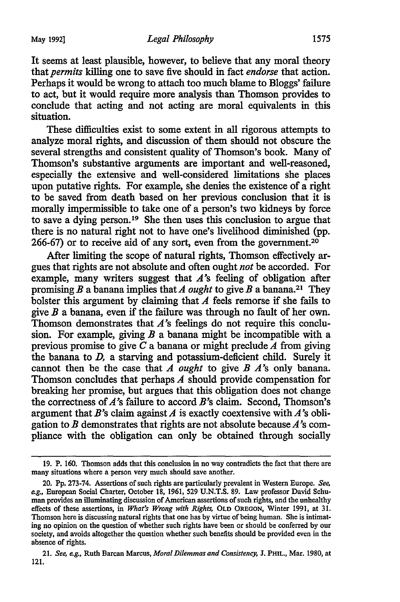It seems at least plausible, however, to believe that any moral theory that *permits* killing one to save five should in fact *endorse* that action. Perhaps it would be wrong to attach too much blame to Bloggs' failure to act, but it would require more analysis than Thomson provides to conclude that acting and not acting are moral equivalents in this situation.

These difficulties exist to some extent in all rigorous attempts to analyze moral rights, and discussion of them should not obscure the several strengths and consistent quality of Thomson's book. Many of Thomson's substantive arguments are important and well-reasoned, especially the extensive and well-considered limitations she places upon putative rights. For example, she denies the existence of a right to be saved from death based on her previous conclusion that it is morally impermissible to take one of a person's two kidneys by force to save a dying person. 19 She then uses this conclusion to argue that there is no natural right not to have one's livelihood diminished (pp. 266-67) or to receive aid of any sort, even from the government.<sup>20</sup>

After limiting the scope of natural rights, Thomson effectively argues that rights are not absolute and often ought *not* be accorded. For example, many writers suggest that *A's* feeling of obligation after promising *B* a banana implies that *A ought* to give *B* a banana. 21 They bolster this argument by claiming that  $A$  feels remorse if she fails to give *B* a banana, even if the failure was through no fault of her own. Thomson demonstrates that *A's* feelings do not require this conclusion. For example, giving  $B$  a banana might be incompatible with a previous promise to give *C* a banana or might preclude *A* from giving the banana to D, a starving and potassium-deficient child. Surely it cannot then be the case that *A ought* to give *B A's* only banana. Thomson concludes that perhaps *A* should provide compensation for breaking her promise, but argues that this obligation does not change the correctness of *A's* failure to accord *B's* claim. Second, Thomson's argument that *B's* claim against *A* is exactly coextensive with *A's* obligation to *B* demonstrates that rights are not absolute because *A's* compliance with the obligation can only be obtained through socially

<sup>19.</sup> P. 160. Thomson adds that this conclusion in no way contradicts the fact that there are many situations where a person very much should save another.

<sup>20.</sup> Pp. 273-74. Assertions of such rights are particularly prevalent in Western Europe. *See, e.g.,* European Social Charter, October 18, 1961, 529 U.N.T.S. 89. Law professor David Schuman provides an illuminating discussion of American assertions of such rights, and the unhealthy effects of these assertions, in *What's Wrong with Rights,* OLD OREGON, Winter 1991, at 31. Thomson here is discussing natural rights that one has by virtue of being human. She is intimating no opinion on the question of whether such rights have been or should be conferred by our society, and avoids altogether the question whether such benefits should be provided even in the absence of rights.

<sup>21.</sup> *See, e.g.,* Ruth Barcan Marcus, *Moral Dilemmas and Consistency,* J. PHIL., Mar. 1980, at 121.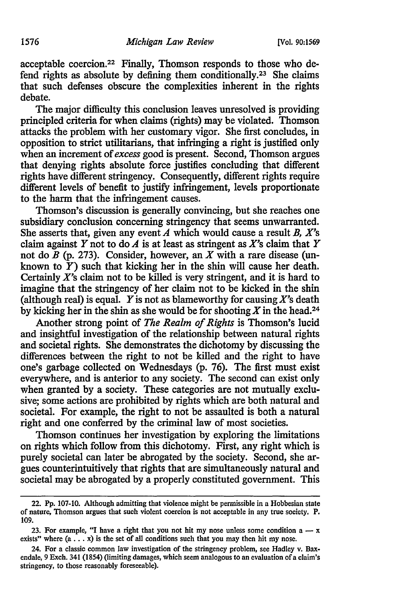acceptable coercion.22 Finally, Thomson responds to those who defend rights as absolute by defining them conditionally.23 She claims that such defenses obscure the complexities inherent in the rights debate.

The major difficulty this conclusion leaves unresolved is providing principled criteria for when claims (rights) may be violated. Thomson attacks the problem with her customary vigor. She first concludes, in opposition to strict utilitarians, that infringing a right is justified only when an increment of *excess* good is present. Second, Thomson argues that denying rights absolute force justifies concluding that different rights have different stringency. Consequently, different rights require different levels of benefit to justify infringement, levels proportionate to the harm that the infringement causes.

Thomson's discussion is generally convincing, but she reaches one subsidiary conclusion concerning stringency that seems unwarranted. She asserts that, given any event *A* which would cause a result *B, X's*  claim against  $Y$  not to do  $\overline{A}$  is at least as stringent as  $X$ 's claim that  $Y$ not do  $\overline{B}$  (p. 273). Consider, however, an X with a rare disease (unknown to  $\mathbf{\tilde{Y}}$ ) such that kicking her in the shin will cause her death. Certainly *X's* claim not to be killed is very stringent, and it is hard to imagine that the stringency of her claim not to be kicked in the shin (although real) is equal. *Y* is not as blameworthy for causing *X's* death by kicking her in the shin as she would be for shooting  $X$  in the head.<sup>24</sup>

Another strong point of *The Realm of Rights* is Thomson's lucid and insightful investigation of the relationship between natural rights and societal rights. She demonstrates the dichotomy by discussing the differences between the right to not be killed and the right to have one's garbage collected on Wednesdays (p. 76). The first must exist everywhere, and is anterior to any society. The second can exist only when granted by a society. These categories are not mutually exclusive; some actions are prohibited by rights which are both natural and societal. For example, the right to not be assaulted is both a natural right and one conferred by the criminal law of most societies.

Thomson continues her investigation by exploring the limitations on rights which follow from this dichotomy. First, any right which is purely societal can later be abrogated by the society. Second, she argues counterintuitively that rights that are simultaneously natural and societal may be abrogated by a properly constituted government. This

<sup>22.</sup> Pp. 107-10. Although admitting that violence might be pennissible in a Hobbesian state of nature, Thomson argues that such violent coercion is not acceptable in any true society. P. 109.

<sup>23.</sup> For example, "I have a right that you not hit my nose unless some condition  $a - x$ exists" where  $(a \dots x)$  is the set of all conditions such that you may then hit my nose.

<sup>24.</sup> For a classic common law investigation of the stringency problem, see Hadley v. Baxendale, 9 Exch. 341 (1854) (limiting damages, which seem analogous to an evaluation ofa claim's stringency, to those reasonably foreseeable).